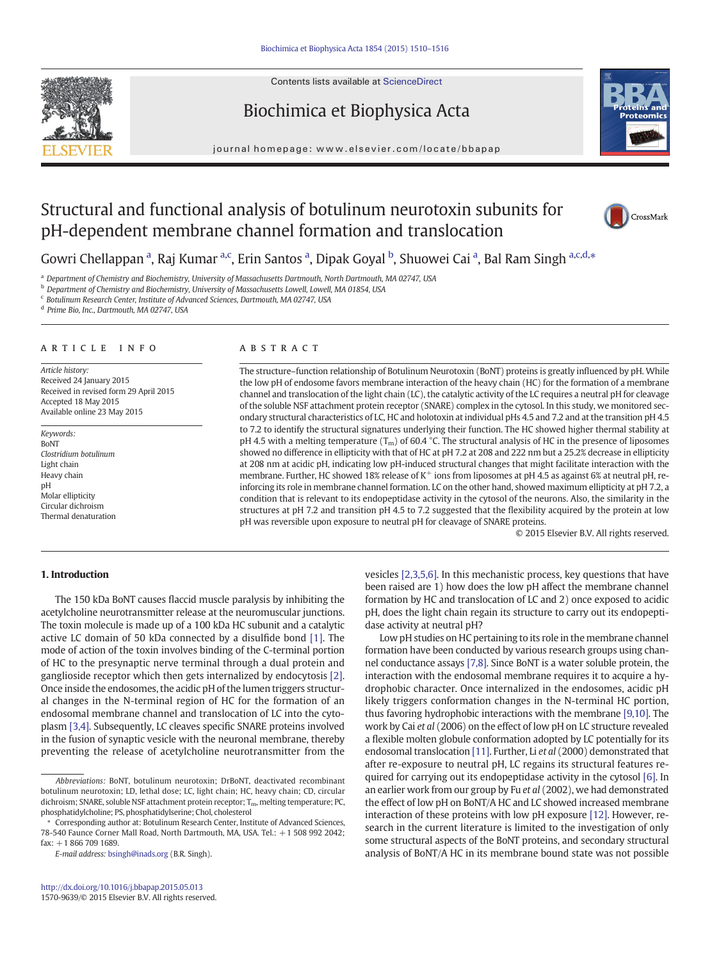Contents lists available at ScienceDirect





journal homepage:<www.elsevier.com/locate/bbapap>



# Structural and functional analysis of botulinum neurotoxin subunits for pH-dependent membrane channel formation and translocation



Gowri Chellappan<sup>a</sup>, Raj Kumar<sup>a,c</sup>, Erin Santos<sup>a</sup>, Dipak Goyal <sup>b</sup>, Shuowei Cai<sup>a</sup>, Bal Ram Singh <sup>a,c,d,\*</sup>

a Department of Chemistry and Biochemistry, University of Massachusetts Dartmouth, North Dartmouth, MA 02747, USA

**b** Department of Chemistry and Biochemistry, University of Massachusetts Lowell, Lowell, MA 01854, USA

c Botulinum Research Center, Institute of Advanced Sciences, Dartmouth, MA 02747, USA

d Prime Bio, Inc., Dartmouth, MA 02747, USA

# article info abstract

Article history: Received 24 January 2015 Received in revised form 29 April 2015 Accepted 18 May 2015 Available online 23 May 2015

Keywords: BoNT Clostridium botulinum Light chain Heavy chain pH Molar ellipticity Circular dichroism Thermal denaturation

The structure–function relationship of Botulinum Neurotoxin (BoNT) proteins is greatly influenced by pH. While the low pH of endosome favors membrane interaction of the heavy chain (HC) for the formation of a membrane channel and translocation of the light chain (LC), the catalytic activity of the LC requires a neutral pH for cleavage of the soluble NSF attachment protein receptor (SNARE) complex in the cytosol. In this study, we monitored secondary structural characteristics of LC, HC and holotoxin at individual pHs 4.5 and 7.2 and at the transition pH 4.5 to 7.2 to identify the structural signatures underlying their function. The HC showed higher thermal stability at pH 4.5 with a melting temperature  $(T_m)$  of 60.4 °C. The structural analysis of HC in the presence of liposomes showed no difference in ellipticity with that of HC at pH 7.2 at 208 and 222 nm but a 25.2% decrease in ellipticity at 208 nm at acidic pH, indicating low pH-induced structural changes that might facilitate interaction with the membrane. Further, HC showed 18% release of  $K^+$  ions from liposomes at pH 4.5 as against 6% at neutral pH, reinforcing its role in membrane channel formation. LC on the other hand, showed maximum ellipticity at pH 7.2, a condition that is relevant to its endopeptidase activity in the cytosol of the neurons. Also, the similarity in the structures at pH 7.2 and transition pH 4.5 to 7.2 suggested that the flexibility acquired by the protein at low pH was reversible upon exposure to neutral pH for cleavage of SNARE proteins.

© 2015 Elsevier B.V. All rights reserved.

# 1. Introduction

The 150 kDa BoNT causes flaccid muscle paralysis by inhibiting the acetylcholine neurotransmitter release at the neuromuscular junctions. The toxin molecule is made up of a 100 kDa HC subunit and a catalytic active LC domain of 50 kDa connected by a disulfide bond [\[1\].](#page-6-0) The mode of action of the toxin involves binding of the C-terminal portion of HC to the presynaptic nerve terminal through a dual protein and ganglioside receptor which then gets internalized by endocytosis [\[2\].](#page-6-0) Once inside the endosomes, the acidic pH of the lumen triggers structural changes in the N-terminal region of HC for the formation of an endosomal membrane channel and translocation of LC into the cytoplasm [\[3,4\]](#page-6-0). Subsequently, LC cleaves specific SNARE proteins involved in the fusion of synaptic vesicle with the neuronal membrane, thereby preventing the release of acetylcholine neurotransmitter from the vesicles [\[2,3,5,6\].](#page-6-0) In this mechanistic process, key questions that have been raised are 1) how does the low pH affect the membrane channel formation by HC and translocation of LC and 2) once exposed to acidic pH, does the light chain regain its structure to carry out its endopeptidase activity at neutral pH?

Low pH studies on HC pertaining to its role in the membrane channel formation have been conducted by various research groups using channel conductance assays [\[7,8\].](#page-6-0) Since BoNT is a water soluble protein, the interaction with the endosomal membrane requires it to acquire a hydrophobic character. Once internalized in the endosomes, acidic pH likely triggers conformation changes in the N-terminal HC portion, thus favoring hydrophobic interactions with the membrane [\[9,10\].](#page-6-0) The work by Cai et al (2006) on the effect of low pH on LC structure revealed a flexible molten globule conformation adopted by LC potentially for its endosomal translocation [\[11\]](#page-6-0). Further, Li et al (2000) demonstrated that after re-exposure to neutral pH, LC regains its structural features required for carrying out its endopeptidase activity in the cytosol [\[6\].](#page-6-0) In an earlier work from our group by Fu et al (2002), we had demonstrated the effect of low pH on BoNT/A HC and LC showed increased membrane interaction of these proteins with low pH exposure [\[12\].](#page-6-0) However, research in the current literature is limited to the investigation of only some structural aspects of the BoNT proteins, and secondary structural analysis of BoNT/A HC in its membrane bound state was not possible

Abbreviations: BoNT, botulinum neurotoxin; DrBoNT, deactivated recombinant botulinum neurotoxin; LD, lethal dose; LC, light chain; HC, heavy chain; CD, circular dichroism; SNARE, soluble NSF attachment protein receptor;  $T_{\rm m}$ , melting temperature; PC, phosphatidylcholine; PS, phosphatidylserine; Chol, cholesterol

<sup>⁎</sup> Corresponding author at: Botulinum Research Center, Institute of Advanced Sciences, 78-540 Faunce Corner Mall Road, North Dartmouth, MA, USA. Tel.: +1 508 992 2042; fax: +1 866 709 1689.

E-mail address: [bsingh@inads.org](mailto:bsingh@inads.org) (B.R. Singh).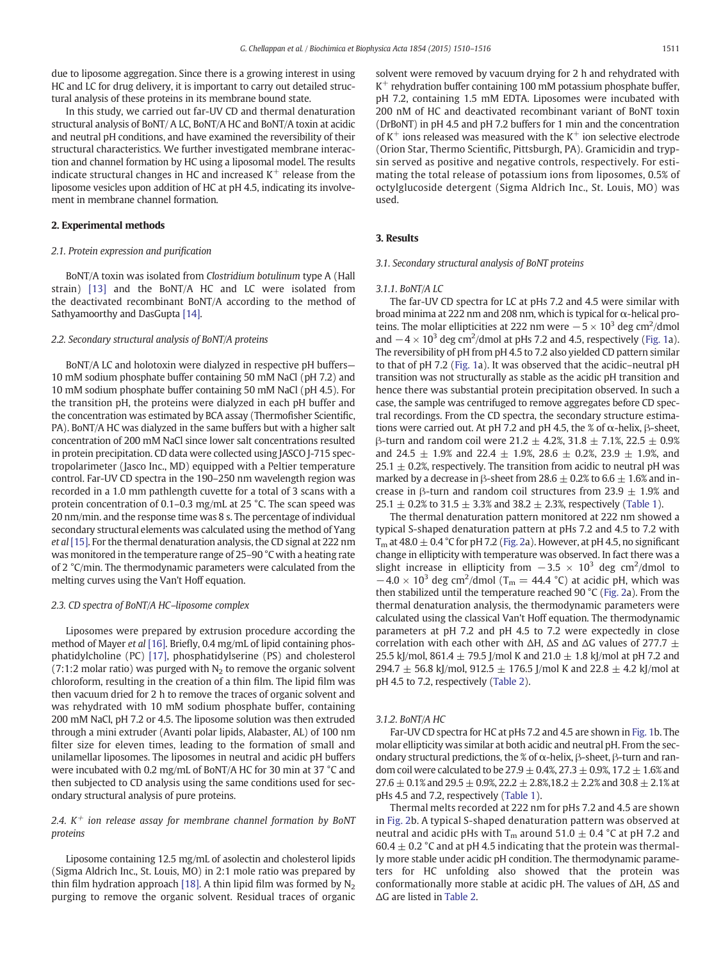due to liposome aggregation. Since there is a growing interest in using HC and LC for drug delivery, it is important to carry out detailed structural analysis of these proteins in its membrane bound state.

In this study, we carried out far-UV CD and thermal denaturation structural analysis of BoNT/ A LC, BoNT/A HC and BoNT/A toxin at acidic and neutral pH conditions, and have examined the reversibility of their structural characteristics. We further investigated membrane interaction and channel formation by HC using a liposomal model. The results indicate structural changes in HC and increased  $K^+$  release from the liposome vesicles upon addition of HC at pH 4.5, indicating its involvement in membrane channel formation.

# 2. Experimental methods

# 2.1. Protein expression and purification

BoNT/A toxin was isolated from Clostridium botulinum type A (Hall strain) [\[13\]](#page-6-0) and the BoNT/A HC and LC were isolated from the deactivated recombinant BoNT/A according to the method of Sathyamoorthy and DasGupta [\[14\]](#page-6-0).

# 2.2. Secondary structural analysis of BoNT/A proteins

BoNT/A LC and holotoxin were dialyzed in respective pH buffers— 10 mM sodium phosphate buffer containing 50 mM NaCl (pH 7.2) and 10 mM sodium phosphate buffer containing 50 mM NaCl (pH 4.5). For the transition pH, the proteins were dialyzed in each pH buffer and the concentration was estimated by BCA assay (Thermofisher Scientific, PA). BoNT/A HC was dialyzed in the same buffers but with a higher salt concentration of 200 mM NaCl since lower salt concentrations resulted in protein precipitation. CD data were collected using JASCO J-715 spectropolarimeter (Jasco Inc., MD) equipped with a Peltier temperature control. Far-UV CD spectra in the 190–250 nm wavelength region was recorded in a 1.0 mm pathlength cuvette for a total of 3 scans with a protein concentration of 0.1–0.3 mg/mL at 25 °C. The scan speed was 20 nm/min. and the response time was 8 s. The percentage of individual secondary structural elements was calculated using the method of Yang et al [\[15\].](#page-6-0) For the thermal denaturation analysis, the CD signal at 222 nm was monitored in the temperature range of 25–90 °C with a heating rate of 2 °C/min. The thermodynamic parameters were calculated from the melting curves using the Van't Hoff equation.

#### 2.3. CD spectra of BoNT/A HC–liposome complex

Liposomes were prepared by extrusion procedure according the method of Mayer et al [\[16\].](#page-6-0) Briefly, 0.4 mg/mL of lipid containing phosphatidylcholine (PC) [\[17\],](#page-6-0) phosphatidylserine (PS) and cholesterol (7:1:2 molar ratio) was purged with  $N_2$  to remove the organic solvent chloroform, resulting in the creation of a thin film. The lipid film was then vacuum dried for 2 h to remove the traces of organic solvent and was rehydrated with 10 mM sodium phosphate buffer, containing 200 mM NaCl, pH 7.2 or 4.5. The liposome solution was then extruded through a mini extruder (Avanti polar lipids, Alabaster, AL) of 100 nm filter size for eleven times, leading to the formation of small and unilamellar liposomes. The liposomes in neutral and acidic pH buffers were incubated with 0.2 mg/mL of BoNT/A HC for 30 min at 37 °C and then subjected to CD analysis using the same conditions used for secondary structural analysis of pure proteins.

# 2.4.  $K^+$  ion release assay for membrane channel formation by BoNT proteins

Liposome containing 12.5 mg/mL of asolectin and cholesterol lipids (Sigma Aldrich Inc., St. Louis, MO) in 2:1 mole ratio was prepared by thin film hydration approach [\[18\]](#page-6-0). A thin lipid film was formed by  $N_2$ purging to remove the organic solvent. Residual traces of organic solvent were removed by vacuum drying for 2 h and rehydrated with  $K^+$  rehydration buffer containing 100 mM potassium phosphate buffer, pH 7.2, containing 1.5 mM EDTA. Liposomes were incubated with 200 nM of HC and deactivated recombinant variant of BoNT toxin (DrBoNT) in pH 4.5 and pH 7.2 buffers for 1 min and the concentration of  $K^+$  ions released was measured with the  $K^+$  ion selective electrode (Orion Star, Thermo Scientific, Pittsburgh, PA). Gramicidin and trypsin served as positive and negative controls, respectively. For estimating the total release of potassium ions from liposomes, 0.5% of octylglucoside detergent (Sigma Aldrich Inc., St. Louis, MO) was used.

# 3. Results

#### 3.1. Secondary structural analysis of BoNT proteins

#### 3.1.1. BoNT/A LC

The far-UV CD spectra for LC at pHs 7.2 and 4.5 were similar with broad minima at 222 nm and 208 nm, which is typical for α-helical proteins. The molar ellipticities at 222 nm were  $-5 \times 10^3$  deg cm<sup>2</sup>/dmol and  $-4 \times 10^3$  deg cm<sup>2</sup>/dmol at pHs 7.2 and 4.5, respectively [\(Fig. 1](#page-2-0)a). The reversibility of pH from pH 4.5 to 7.2 also yielded CD pattern similar to that of pH 7.2 ([Fig. 1](#page-2-0)a). It was observed that the acidic–neutral pH transition was not structurally as stable as the acidic pH transition and hence there was substantial protein precipitation observed. In such a case, the sample was centrifuged to remove aggregates before CD spectral recordings. From the CD spectra, the secondary structure estimations were carried out. At pH 7.2 and pH 4.5, the % of α-helix,  $\beta$ -sheet, β-turn and random coil were 21.2  $\pm$  4.2%, 31.8  $\pm$  7.1%, 22.5  $\pm$  0.9% and 24.5  $\pm$  1.9% and 22.4  $\pm$  1.9%, 28.6  $\pm$  0.2%, 23.9  $\pm$  1.9%, and  $25.1 \pm 0.2$ %, respectively. The transition from acidic to neutral pH was marked by a decrease in β-sheet from 28.6  $\pm$  0.2% to 6.6  $\pm$  1.6% and increase in β-turn and random coil structures from 23.9  $\pm$  1.9% and 25.1  $\pm$  0.2% to 31.5  $\pm$  3.3% and 38.2  $\pm$  2.3%, respectively ([Table 1](#page-2-0)).

The thermal denaturation pattern monitored at 222 nm showed a typical S-shaped denaturation pattern at pHs 7.2 and 4.5 to 7.2 with  $T<sub>m</sub>$  at 48.0  $\pm$  0.4 °C for pH 7.2 [\(Fig. 2a](#page-3-0)). However, at pH 4.5, no significant change in ellipticity with temperature was observed. In fact there was a slight increase in ellipticity from  $-3.5 \times 10^3$  deg cm<sup>2</sup>/dmol to  $-4.0 \times 10^3$  deg cm<sup>2</sup>/dmol (T<sub>m</sub> = 44.4 °C) at acidic pH, which was then stabilized until the temperature reached 90 °C [\(Fig. 2a](#page-3-0)). From the thermal denaturation analysis, the thermodynamic parameters were calculated using the classical Van't Hoff equation. The thermodynamic parameters at pH 7.2 and pH 4.5 to 7.2 were expectedly in close correlation with each other with  $\Delta H$ ,  $\Delta S$  and  $\Delta G$  values of 277.7  $\pm$ 25.5 kJ/mol, 861.4  $\pm$  79.5 J/mol K and 21.0  $\pm$  1.8 kJ/mol at pH 7.2 and 294.7  $\pm$  56.8 kJ/mol, 912.5  $\pm$  176.5 J/mol K and 22.8  $\pm$  4.2 kJ/mol at pH 4.5 to 7.2, respectively ([Table 2](#page-4-0)).

#### 3.1.2. BoNT/A HC

Far-UV CD spectra for HC at pHs 7.2 and 4.5 are shown in [Fig. 1b](#page-2-0). The molar ellipticity was similar at both acidic and neutral pH. From the secondary structural predictions, the % of  $\alpha$ -helix, β-sheet, β-turn and random coil were calculated to be 27.9  $\pm$  0.4%, 27.3  $\pm$  0.9%, 17.2  $\pm$  1.6% and  $27.6 \pm 0.1\%$  and  $29.5 \pm 0.9\%$ ,  $22.2 \pm 2.8\%$ ,  $18.2 \pm 2.2\%$  and  $30.8 \pm 2.1\%$  at pHs 4.5 and 7.2, respectively [\(Table 1\)](#page-2-0).

Thermal melts recorded at 222 nm for pHs 7.2 and 4.5 are shown in [Fig. 2b](#page-3-0). A typical S-shaped denaturation pattern was observed at neutral and acidic pHs with  $T_m$  around 51.0  $\pm$  0.4 °C at pH 7.2 and 60.4  $\pm$  0.2 °C and at pH 4.5 indicating that the protein was thermally more stable under acidic pH condition. The thermodynamic parameters for HC unfolding also showed that the protein was conformationally more stable at acidic pH. The values of ΔH, ΔS and ΔG are listed in [Table 2](#page-4-0).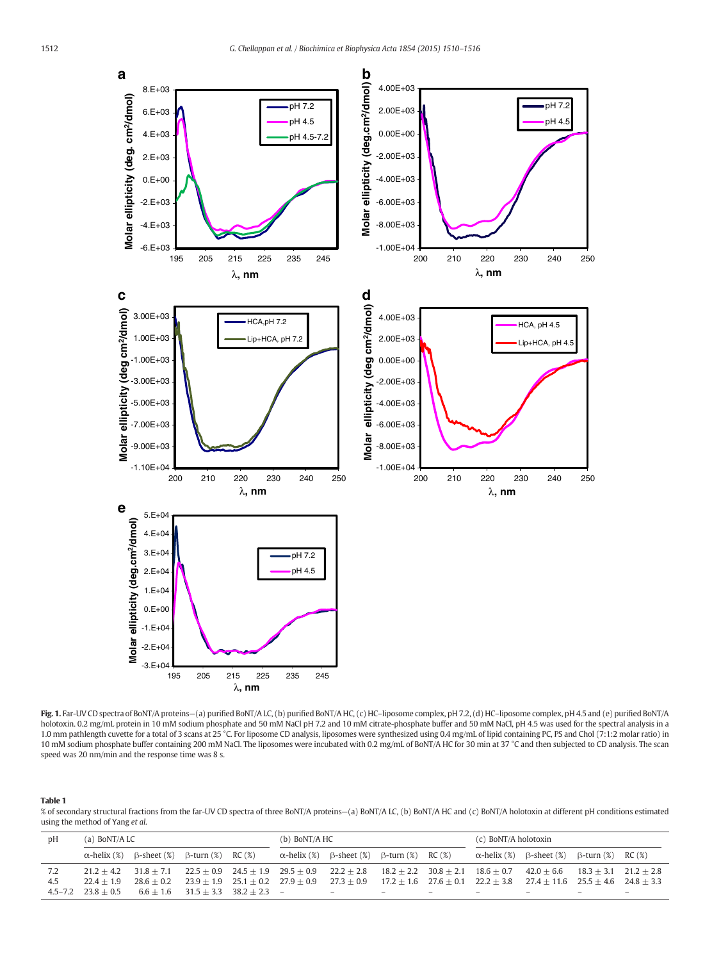<span id="page-2-0"></span>

Fig. 1. Far-UV CD spectra of BoNT/A proteins—(a) purified BoNT/A LC, (b) purified BoNT/A HC, (c) HC–liposome complex, pH 7.2, (d) HC–liposome complex, pH 4.5 and (e) purified BoNT/A holotoxin. 0.2 mg/mL protein in 10 mM sodium phosphate and 50 mM NaCl pH 7.2 and 10 mM citrate-phosphate buffer and 50 mM NaCl, pH 4.5 was used for the spectral analysis in a 1.0 mm pathlength cuvette for a total of 3 scans at 25 °C. For liposome CD analysis, liposomes were synthesized using 0.4 mg/mL of lipid containing PC, PS and Chol (7:1:2 molar ratio) in 10 mM sodium phosphate buffer containing 200 mM NaCl. The liposomes were incubated with 0.2 mg/mL of BoNT/A HC for 30 min at 37 °C and then subjected to CD analysis. The scan speed was 20 nm/min and the response time was 8 s.

#### Table 1

% of secondary structural fractions from the far-UV CD spectra of three BoNT/A proteins—(a) BoNT/A LC, (b) BoNT/A HC and (c) BoNT/A holotoxin at different pH conditions estimated using the method of Yang et al.

| DΗ                 | (a) BoNT/A LC                |                                                          |                                                                             | $(b)$ BoNT/A HC |                                                                 |                                              |                          | (c) BoNT/A holotoxin |                                                                                |                                |  |
|--------------------|------------------------------|----------------------------------------------------------|-----------------------------------------------------------------------------|-----------------|-----------------------------------------------------------------|----------------------------------------------|--------------------------|----------------------|--------------------------------------------------------------------------------|--------------------------------|--|
|                    |                              | $\alpha$ -helix (%) $\beta$ -sheet (%) $\beta$ -turn (%) | RC (%)                                                                      |                 | $\alpha$ -helix (%) $\beta$ -sheet (%) $\beta$ -turn (%) RC (%) |                                              |                          | $\alpha$ -helix (%)  | B-sheet (%)                                                                    | $\beta$ -turn $(\%)$ RC $(\%)$ |  |
|                    | $21.2 + 4.2$                 | $31.8 + 7.1$                                             | $22.5 + 0.9$ $24.5 + 1.9$ $29.5 + 0.9$                                      |                 | $22.2 \pm 2.8$                                                  | $18.2 \pm 2.2$ $30.8 \pm 2.1$ $18.6 \pm 0.7$ |                          |                      | $42.0 \pm 6.6$ $18.3 \pm 3.1$ $21.2 \pm 2.8$                                   |                                |  |
| 4.5<br>$4.5 - 7.2$ | $22.4 + 1.9$<br>$23.8 + 0.5$ | $28.6 + 0.2$<br>$6.6 + 1.6$                              | $23.9 \pm 1.9$ $25.1 \pm 0.2$ $27.9 \pm 0.9$<br>$31.5 + 3.3$ $38.2 + 2.3$ - |                 | $27.3 + 0.9$<br>$\overline{\phantom{0}}$                        |                                              | $\overline{\phantom{0}}$ |                      | $17.2 + 1.6$ $27.6 + 0.1$ $22.2 + 3.8$ $27.4 + 11.6$ $25.5 + 4.6$ $24.8 + 3.3$ |                                |  |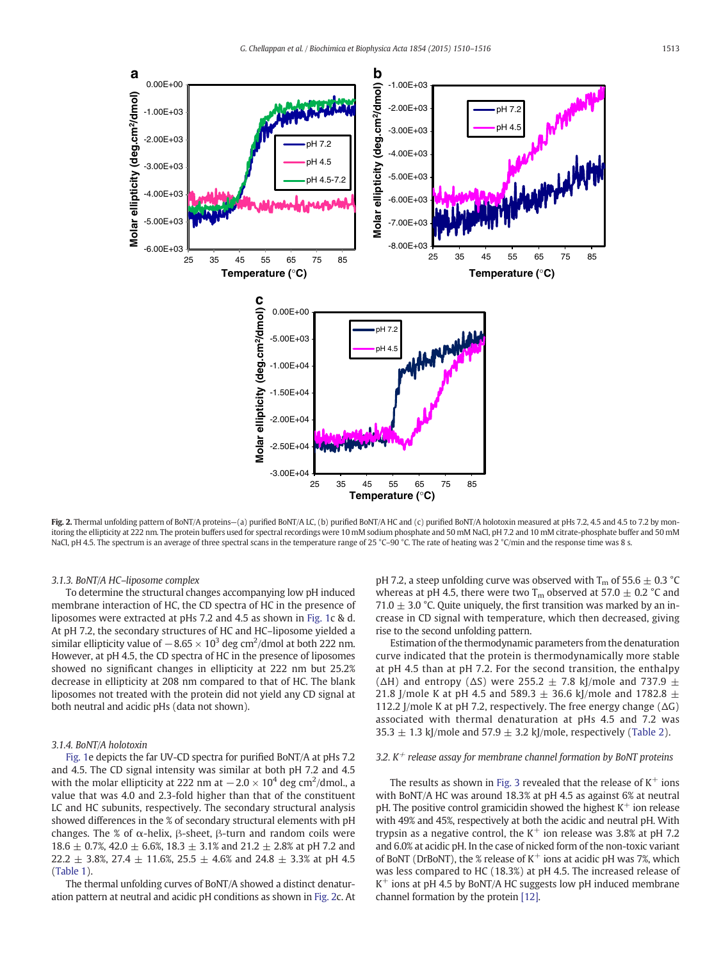<span id="page-3-0"></span>

Fig. 2. Thermal unfolding pattern of BoNT/A proteins-(a) purified BoNT/A LC, (b) purified BoNT/A HC and (c) purified BoNT/A holotoxin measured at pHs 7.2, 4.5 and 4.5 to 7.2 by monitoring the ellipticity at 222 nm. The protein buffers used for spectral recordings were 10 mM sodium phosphate and 50 mM NaCl, pH 7.2 and 10 mM citrate-phosphate buffer and 50 mM NaCl, pH 4.5. The spectrum is an average of three spectral scans in the temperature range of 25 °C–90 °C. The rate of heating was 2 °C/min and the response time was 8 s.

# 3.1.3. BoNT/A HC–liposome complex

To determine the structural changes accompanying low pH induced membrane interaction of HC, the CD spectra of HC in the presence of liposomes were extracted at pHs 7.2 and 4.5 as shown in [Fig. 1](#page-2-0)c & d. At pH 7.2, the secondary structures of HC and HC–liposome yielded a similar ellipticity value of  $-8.65 \times 10^3$  deg cm<sup>2</sup>/dmol at both 222 nm. However, at pH 4.5, the CD spectra of HC in the presence of liposomes showed no significant changes in ellipticity at 222 nm but 25.2% decrease in ellipticity at 208 nm compared to that of HC. The blank liposomes not treated with the protein did not yield any CD signal at both neutral and acidic pHs (data not shown).

#### 3.1.4. BoNT/A holotoxin

[Fig. 1](#page-2-0)e depicts the far UV-CD spectra for purified BoNT/A at pHs 7.2 and 4.5. The CD signal intensity was similar at both pH 7.2 and 4.5 with the molar ellipticity at 222 nm at  $-2.0 \times 10^4$  deg cm<sup>2</sup>/dmol., a value that was 4.0 and 2.3-fold higher than that of the constituent LC and HC subunits, respectively. The secondary structural analysis showed differences in the % of secondary structural elements with pH changes. The % of α-helix,  $β$ -sheet,  $β$ -turn and random coils were 18.6  $\pm$  0.7%, 42.0  $\pm$  6.6%, 18.3  $\pm$  3.1% and 21.2  $\pm$  2.8% at pH 7.2 and 22.2  $\pm$  3.8%, 27.4  $\pm$  11.6%, 25.5  $\pm$  4.6% and 24.8  $\pm$  3.3% at pH 4.5 [\(Table 1\)](#page-2-0).

The thermal unfolding curves of BoNT/A showed a distinct denaturation pattern at neutral and acidic pH conditions as shown in Fig. 2c. At pH 7.2, a steep unfolding curve was observed with  $T_m$  of 55.6  $\pm$  0.3 °C whereas at pH 4.5, there were two  $T_m$  observed at 57.0  $\pm$  0.2 °C and 71.0  $\pm$  3.0 °C. Quite uniquely, the first transition was marked by an increase in CD signal with temperature, which then decreased, giving rise to the second unfolding pattern.

Estimation of the thermodynamic parameters from the denaturation curve indicated that the protein is thermodynamically more stable at pH 4.5 than at pH 7.2. For the second transition, the enthalpy ( $\Delta$ H) and entropy ( $\Delta$ S) were 255.2  $\pm$  7.8 kJ/mole and 737.9  $\pm$ 21.8 J/mole K at pH 4.5 and 589.3  $\pm$  36.6 kJ/mole and 1782.8  $\pm$ 112.2 J/mole K at pH 7.2, respectively. The free energy change  $(\Delta G)$ associated with thermal denaturation at pHs 4.5 and 7.2 was 35.3  $\pm$  1.3 kJ/mole and 57.9  $\pm$  3.2 kJ/mole, respectively [\(Table 2\)](#page-4-0).

#### 3.2.  $K^+$  release assay for membrane channel formation by BoNT proteins

The results as shown in [Fig. 3](#page-4-0) revealed that the release of  $K^+$  ions with BoNT/A HC was around 18.3% at pH 4.5 as against 6% at neutral pH. The positive control gramicidin showed the highest  $K^+$  ion release with 49% and 45%, respectively at both the acidic and neutral pH. With trypsin as a negative control, the  $K^+$  ion release was 3.8% at pH 7.2 and 6.0% at acidic pH. In the case of nicked form of the non-toxic variant of BoNT (DrBoNT), the % release of  $K^+$  ions at acidic pH was 7%, which was less compared to HC (18.3%) at pH 4.5. The increased release of  $K^+$  ions at pH 4.5 by BoNT/A HC suggests low pH induced membrane channel formation by the protein [\[12\].](#page-6-0)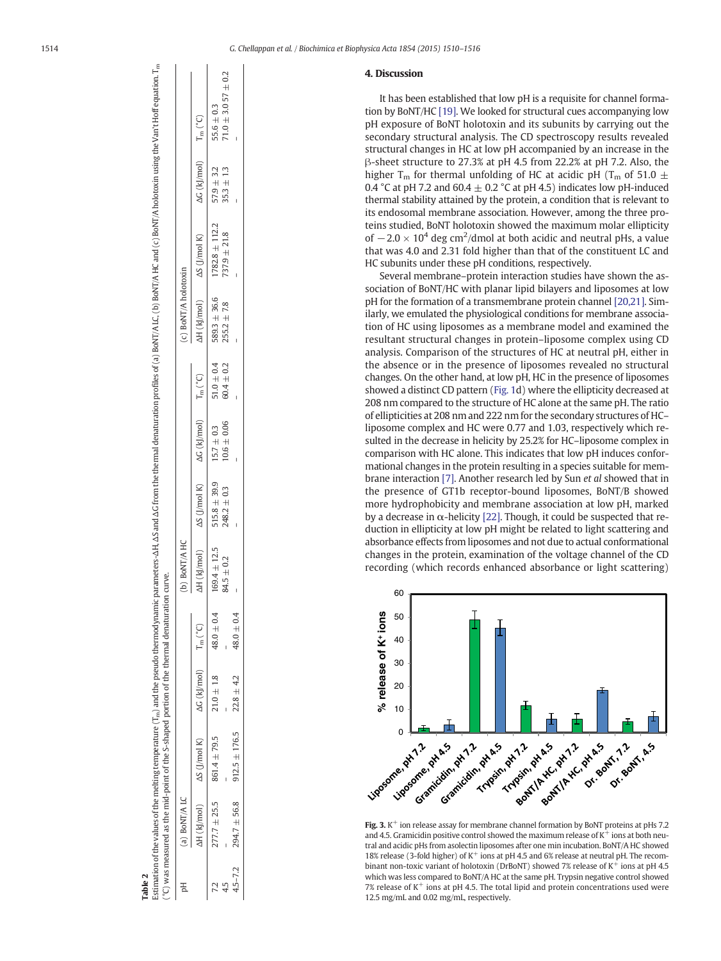<span id="page-4-0"></span>

| (a) BoNT/ALC                 |                                                                         |                |                | (b) BoNT/A HC    |                                                                         |                 |                | (c) BoNT/A holotoxin |                                          |                                |                          |
|------------------------------|-------------------------------------------------------------------------|----------------|----------------|------------------|-------------------------------------------------------------------------|-----------------|----------------|----------------------|------------------------------------------|--------------------------------|--------------------------|
|                              | $\Delta H$ (k /mol) $\Delta S$ (J/mol K) $\Delta G$ (k /mol) $T_m$ (°C) |                |                |                  | $\Delta H$ (kJ/mol) $\Delta S$ (J/mol K) $\Delta G$ (kJ/mol) $T_m$ (°C) |                 |                |                      | $\Delta H$ (kJ/mol) $\Delta S$ (J/mol K) | $\Delta G$ (kj/mol) $T_m$ (°C) |                          |
|                              | $277.7 \pm 25.5$ 861.4 $\pm$ 79.5                                       | $21.0 \pm 1.8$ | $48.0 \pm 0.4$ | $169.4 \pm 12.5$ | $515.8 \pm 39.9$ $15.7 \pm 0.3$                                         |                 | $51.0 \pm 0.4$ | $589.3 \pm 36.6$     | $1782.8 \pm 112.2$                       | $57.9 \pm 3.2$                 | $55.6 \pm 0.3$           |
|                              |                                                                         |                |                | $84.5 \pm 0.2$   | $248.2 \pm 0.3$                                                         | $10.6 \pm 0.06$ | $60.4 \pm 0.2$ | $255.2 \pm 7.8$      | $737.9 \pm 21.8$                         | $35.3 \pm 1.3$                 | $71.0 \pm 3.057 \pm 0.2$ |
| $4.5 - 7.2$ 294.7 $\pm$ 56.8 | $912.5 \pm 176.5$                                                       | $22.8 \pm 4.2$ | $48.0 \pm 0.4$ |                  |                                                                         |                 |                |                      |                                          |                                |                          |

Table 2

# 4. Discussion

It has been established that low pH is a requisite for channel formation by BoNT/HC [\[19\].](#page-6-0) We looked for structural cues accompanying low pH exposure of BoNT holotoxin and its subunits by carrying out the secondary structural analysis. The CD spectroscopy results revealed structural changes in HC at low pH accompanied by an increase in the β-sheet structure to 27.3% at pH 4.5 from 22.2% at pH 7.2. Also, the higher T<sub>m</sub> for thermal unfolding of HC at acidic pH (T<sub>m</sub> of 51.0  $\pm$ 0.4 °C at pH 7.2 and 60.4  $\pm$  0.2 °C at pH 4.5) indicates low pH-induced thermal stability attained by the protein, a condition that is relevant to its endosomal membrane association. However, among the three proteins studied, BoNT holotoxin showed the maximum molar ellipticity of  $-2.0 \times 10^4$  deg cm<sup>2</sup>/dmol at both acidic and neutral pHs, a value that was 4.0 and 2.31 fold higher than that of the constituent LC and HC subunits under these pH conditions, respectively.

Several membrane–protein interaction studies have shown the association of BoNT/HC with planar lipid bilayers and liposomes at low pH for the formation of a transmembrane protein channel [\[20,21\]](#page-6-0). Similarly, we emulated the physiological conditions for membrane association of HC using liposomes as a membrane model and examined the resultant structural changes in protein–liposome complex using CD analysis. Comparison of the structures of HC at neutral pH, either in the absence or in the presence of liposomes revealed no structural changes. On the other hand, at low pH, HC in the presence of liposomes showed a distinct CD pattern [\(Fig. 1](#page-2-0)d) where the ellipticity decreased at 208 nm compared to the structure of HC alone at the same pH. The ratio of ellipticities at 208 nm and 222 nm for the secondary structures of HC– liposome complex and HC were 0.77 and 1.03, respectively which resulted in the decrease in helicity by 25.2% for HC–liposome complex in comparison with HC alone. This indicates that low pH induces conformational changes in the protein resulting in a species suitable for membrane interaction [\[7\]](#page-6-0). Another research led by Sun et al showed that in the presence of GT1b receptor-bound liposomes, BoNT/B showed more hydrophobicity and membrane association at low pH, marked by a decrease in  $\alpha$ -helicity [\[22\]](#page-6-0). Though, it could be suspected that reduction in ellipticity at low pH might be related to light scattering and absorbance effects from liposomes and not due to actual conformational changes in the protein, examination of the voltage channel of the CD recording (which records enhanced absorbance or light scattering)



Fig. 3.  $K^+$  ion release assay for membrane channel formation by BoNT proteins at pHs 7.2 and 4.5. Gramicidin positive control showed the maximum release of  $K^+$  ions at both neutral and acidic pHs from asolectin liposomes after one min incubation. BoNT/A HC showed 18% release (3-fold higher) of  $K^+$  ions at pH 4.5 and 6% release at neutral pH. The recombinant non-toxic variant of holotoxin (DrBoNT) showed 7% release of  $K^+$  ions at pH 4.5 which was less compared to BoNT/A HC at the same pH. Trypsin negative control showed 7% release of  $K^+$  ions at pH 4.5. The total lipid and protein concentrations used were 12.5 mg/mL and 0.02 mg/mL, respectively.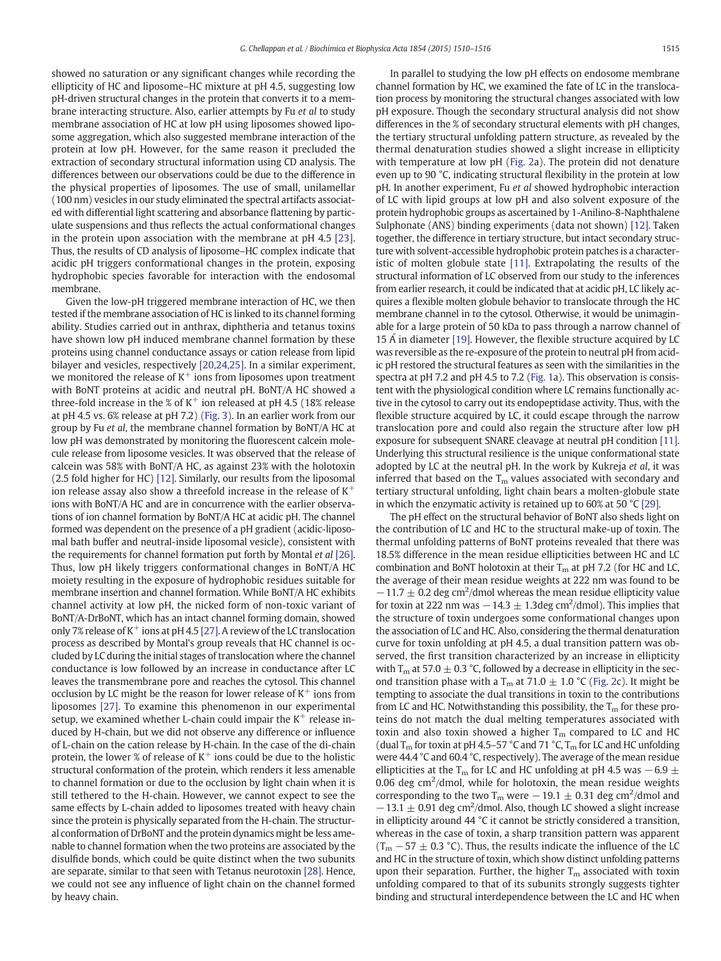showed no saturation or any significant changes while recording the ellipticity of HC and liposome–HC mixture at pH 4.5, suggesting low pH-driven structural changes in the protein that converts it to a membrane interacting structure. Also, earlier attempts by Fu et al to study membrane association of HC at low pH using liposomes showed liposome aggregation, which also suggested membrane interaction of the protein at low pH. However, for the same reason it precluded the extraction of secondary structural information using CD analysis. The differences between our observations could be due to the difference in the physical properties of liposomes. The use of small, unilamellar (100 nm) vesicles in our study eliminated the spectral artifacts associated with differential light scattering and absorbance flattening by particulate suspensions and thus reflects the actual conformational changes in the protein upon association with the membrane at pH 4.5 [\[23\].](#page-6-0) Thus, the results of CD analysis of liposome–HC complex indicate that acidic pH triggers conformational changes in the protein, exposing hydrophobic species favorable for interaction with the endosomal membrane.

Given the low-pH triggered membrane interaction of HC, we then tested if the membrane association of HC is linked to its channel forming ability. Studies carried out in anthrax, diphtheria and tetanus toxins have shown low pH induced membrane channel formation by these proteins using channel conductance assays or cation release from lipid bilayer and vesicles, respectively [\[20,24,25\].](#page-6-0) In a similar experiment, we monitored the release of  $K^+$  ions from liposomes upon treatment with BoNT proteins at acidic and neutral pH. BoNT/A HC showed a three-fold increase in the % of  $K^+$  ion released at pH 4.5 (18% release at pH 4.5 vs. 6% release at pH 7.2) [\(Fig. 3](#page-4-0)). In an earlier work from our group by Fu et al, the membrane channel formation by BoNT/A HC at low pH was demonstrated by monitoring the fluorescent calcein molecule release from liposome vesicles. It was observed that the release of calcein was 58% with BoNT/A HC, as against 23% with the holotoxin (2.5 fold higher for HC) [\[12\]](#page-6-0). Similarly, our results from the liposomal ion release assay also show a threefold increase in the release of  $K^+$ ions with BoNT/A HC and are in concurrence with the earlier observations of ion channel formation by BoNT/A HC at acidic pH. The channel formed was dependent on the presence of a pH gradient (acidic-liposomal bath buffer and neutral-inside liposomal vesicle), consistent with the requirements for channel formation put forth by Montal et al [\[26\].](#page-6-0) Thus, low pH likely triggers conformational changes in BoNT/A HC moiety resulting in the exposure of hydrophobic residues suitable for membrane insertion and channel formation. While BoNT/A HC exhibits channel activity at low pH, the nicked form of non-toxic variant of BoNT/A-DrBoNT, which has an intact channel forming domain, showed only 7% release of  $K^+$  ions at pH 4.5 [\[27\]](#page-6-0). A review of the LC translocation process as described by Montal's group reveals that HC channel is occluded by LC during the initial stages of translocation where the channel conductance is low followed by an increase in conductance after LC leaves the transmembrane pore and reaches the cytosol. This channel occlusion by LC might be the reason for lower release of  $K^+$  ions from liposomes [\[27\].](#page-6-0) To examine this phenomenon in our experimental setup, we examined whether L-chain could impair the  $K^+$  release induced by H-chain, but we did not observe any difference or influence of L-chain on the cation release by H-chain. In the case of the di-chain protein, the lower % of release of  $K^+$  ions could be due to the holistic structural conformation of the protein, which renders it less amenable to channel formation or due to the occlusion by light chain when it is still tethered to the H-chain. However, we cannot expect to see the same effects by L-chain added to liposomes treated with heavy chain since the protein is physically separated from the H-chain. The structural conformation of DrBoNT and the protein dynamics might be less amenable to channel formation when the two proteins are associated by the disulfide bonds, which could be quite distinct when the two subunits are separate, similar to that seen with Tetanus neurotoxin [\[28\].](#page-6-0) Hence, we could not see any influence of light chain on the channel formed by heavy chain.

In parallel to studying the low pH effects on endosome membrane channel formation by HC, we examined the fate of LC in the translocation process by monitoring the structural changes associated with low pH exposure. Though the secondary structural analysis did not show differences in the % of secondary structural elements with pH changes, the tertiary structural unfolding pattern structure, as revealed by the thermal denaturation studies showed a slight increase in ellipticity with temperature at low pH ([Fig. 2](#page-3-0)a). The protein did not denature even up to 90 °C, indicating structural flexibility in the protein at low pH. In another experiment, Fu et al showed hydrophobic interaction of LC with lipid groups at low pH and also solvent exposure of the protein hydrophobic groups as ascertained by 1-Anilino-8-Naphthalene Sulphonate (ANS) binding experiments (data not shown) [\[12\].](#page-6-0) Taken together, the difference in tertiary structure, but intact secondary structure with solvent-accessible hydrophobic protein patches is a characteristic of molten globule state [\[11\].](#page-6-0) Extrapolating the results of the structural information of LC observed from our study to the inferences from earlier research, it could be indicated that at acidic pH, LC likely acquires a flexible molten globule behavior to translocate through the HC membrane channel in to the cytosol. Otherwise, it would be unimaginable for a large protein of 50 kDa to pass through a narrow channel of 15  $\AA$  in diameter [\[19\].](#page-6-0) However, the flexible structure acquired by LC was reversible as the re-exposure of the protein to neutral pH from acidic pH restored the structural features as seen with the similarities in the spectra at pH 7.2 and pH 4.5 to 7.2 ([Fig. 1](#page-2-0)a). This observation is consistent with the physiological condition where LC remains functionally active in the cytosol to carry out its endopeptidase activity. Thus, with the flexible structure acquired by LC, it could escape through the narrow translocation pore and could also regain the structure after low pH exposure for subsequent SNARE cleavage at neutral pH condition [\[11\].](#page-6-0) Underlying this structural resilience is the unique conformational state adopted by LC at the neutral pH. In the work by Kukreja et al, it was inferred that based on the  $T_m$  values associated with secondary and tertiary structural unfolding, light chain bears a molten-globule state in which the enzymatic activity is retained up to 60% at 50 °C [\[29\]](#page-6-0).

The pH effect on the structural behavior of BoNT also sheds light on the contribution of LC and HC to the structural make-up of toxin. The thermal unfolding patterns of BoNT proteins revealed that there was 18.5% difference in the mean residue ellipticities between HC and LC combination and BoNT holotoxin at their  $T_m$  at pH 7.2 (for HC and LC, the average of their mean residue weights at 222 nm was found to be  $-11.7 \pm 0.2$  deg cm<sup>2</sup>/dmol whereas the mean residue ellipticity value for toxin at 222 nm was  $-14.3 \pm 1.3$ deg cm<sup>2</sup>/dmol). This implies that the structure of toxin undergoes some conformational changes upon the association of LC and HC. Also, considering the thermal denaturation curve for toxin unfolding at pH 4.5, a dual transition pattern was observed, the first transition characterized by an increase in ellipticity with  $T_m$  at 57.0  $\pm$  0.3 °C, followed by a decrease in ellipticity in the second transition phase with a T<sub>m</sub> at 71.0  $\pm$  1.0 °C [\(Fig. 2c](#page-3-0)). It might be tempting to associate the dual transitions in toxin to the contributions from LC and HC. Notwithstanding this possibility, the  $T_m$  for these proteins do not match the dual melting temperatures associated with toxin and also toxin showed a higher  $T_m$  compared to LC and HC (dual  $T_m$  for toxin at pH 4.5–57 °C and 71 °C,  $T_m$  for LC and HC unfolding were 44.4 °C and 60.4 °C, respectively). The average of the mean residue ellipticities at the T<sub>m</sub> for LC and HC unfolding at pH 4.5 was  $-6.9 \pm$ 0.06 deg  $\text{cm}^2/\text{dmol}$ , while for holotoxin, the mean residue weights corresponding to the two T<sub>m</sub> were  $-19.1 \pm 0.31$  deg cm<sup>2</sup>/dmol and  $-13.1 \pm 0.91$  deg cm<sup>2</sup>/dmol. Also, though LC showed a slight increase in ellipticity around 44 °C it cannot be strictly considered a transition, whereas in the case of toxin, a sharp transition pattern was apparent  $(T_m - 57 \pm 0.3 \degree C)$ . Thus, the results indicate the influence of the LC and HC in the structure of toxin, which show distinct unfolding patterns upon their separation. Further, the higher  $T_m$  associated with toxin unfolding compared to that of its subunits strongly suggests tighter binding and structural interdependence between the LC and HC when